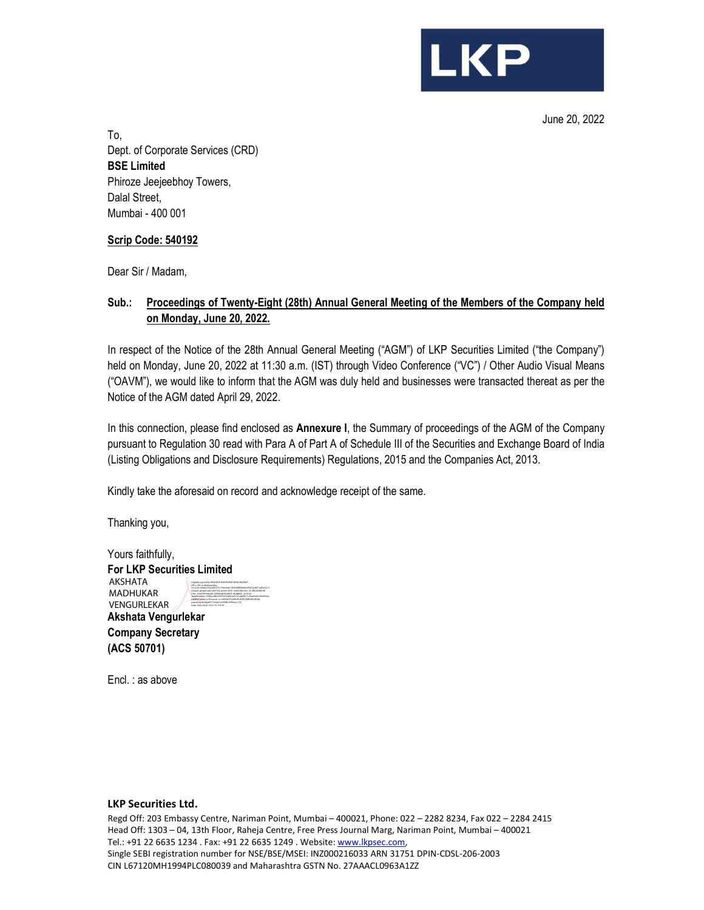

June 20, 2022 To, Dept. of Corporate Services (CRD) BSE Limited Phiroze Jeejeebhoy Towers, Dalal Street, Mumbai - 400 001

## Scrip Code: 540192

Dear Sir / Madam,

# Sub.: Proceedings of Twenty-Eight (28th) Annual General Meeting of the Members of the Company held on Monday, June 20, 2022.

In respect of the Notice of the 28th Annual General Meeting ("AGM") of LKP Securities Limited ("the Company") held on Monday, June 20, 2022 at 11:30 a.m. (IST) through Video Conference ("VC") / Other Audio Visual Means ("OAVM"), we would like to inform that the AGM was duly held and businesses were transacted thereat as per the Notice of the AGM dated April 29, 2022.

In this connection, please find enclosed as Annexure I, the Summary of proceedings of the AGM of the Company pursuant to Regulation 30 read with Para A of Part A of Schedule III of the Securities and Exchange Board of India (Listing Obligations and Disclosure Requirements) Regulations, 2015 and the Companies Act, 2013.

Kindly take the aforesaid on record and acknowledge receipt of the same.

Thanking you,

Yours faithfully, For LKP Securities Limited Akshata Vengurlekar Company Secretary (ACS 50701) AKSHATA MADHUKAR VENGURLEKAR Digitally signed by AKSHATA MADHUKAR VENGURLEKAR DN: c=IN, st=Maharashtra, 2.5.4.20=36abcc02a249257e17fa02edc15b9cdf80fb4be59347ac8471a82e5a13 62a4c8, postalCode=400104, street=A701, BUILDING NO. 14, MILLENNIUM CHS., SHASTRI NAGAR, GOREGAON WEST, MUMBAI - 400104, serialNumber=3386ccdfec234f7e355b8cec4161ebb9b71c2faa664e53bb930cb b8d6051a2a2, o=Personal, cn=AKSHATA MADHUKAR VENGURLEKAR, pseudonym=0baf971534a31e54f3fb15ff9c4a1129 Date: 2022.06.20 16:51:15 +05'30'

Encl. : as above

#### LKP Securities Ltd.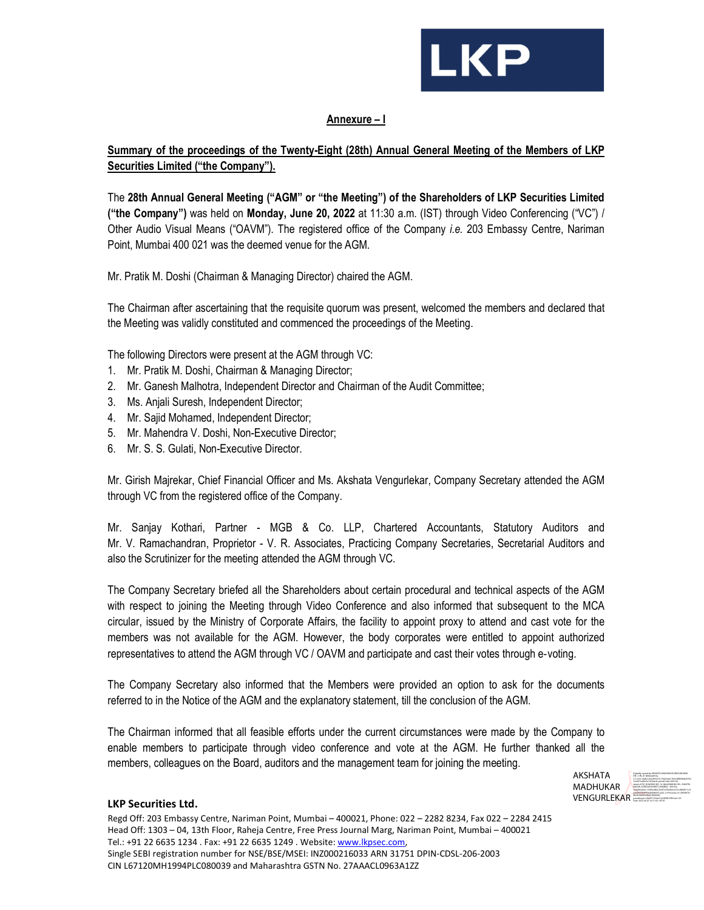

## Annexure – I

# Summary of the proceedings of the Twenty-Eight (28th) Annual General Meeting of the Members of LKP Securities Limited ("the Company").

The 28th Annual General Meeting ("AGM" or "the Meeting") of the Shareholders of LKP Securities Limited ("the Company") was held on Monday, June 20, 2022 at 11:30 a.m. (IST) through Video Conferencing ("VC") / Other Audio Visual Means ("OAVM"). The registered office of the Company i.e. 203 Embassy Centre, Nariman Point, Mumbai 400 021 was the deemed venue for the AGM.

Mr. Pratik M. Doshi (Chairman & Managing Director) chaired the AGM.

The Chairman after ascertaining that the requisite quorum was present, welcomed the members and declared that the Meeting was validly constituted and commenced the proceedings of the Meeting.

The following Directors were present at the AGM through VC:

- 1. Mr. Pratik M. Doshi, Chairman & Managing Director;
- 2. Mr. Ganesh Malhotra, Independent Director and Chairman of the Audit Committee;
- 3. Ms. Anjali Suresh, Independent Director;
- 4. Mr. Sajid Mohamed, Independent Director;
- 5. Mr. Mahendra V. Doshi, Non-Executive Director;
- 6. Mr. S. S. Gulati, Non-Executive Director.

Mr. Girish Majrekar, Chief Financial Officer and Ms. Akshata Vengurlekar, Company Secretary attended the AGM through VC from the registered office of the Company.

Mr. Sanjay Kothari, Partner - MGB & Co. LLP, Chartered Accountants, Statutory Auditors and Mr. V. Ramachandran, Proprietor - V. R. Associates, Practicing Company Secretaries, Secretarial Auditors and also the Scrutinizer for the meeting attended the AGM through VC.

The Company Secretary briefed all the Shareholders about certain procedural and technical aspects of the AGM with respect to joining the Meeting through Video Conference and also informed that subsequent to the MCA circular, issued by the Ministry of Corporate Affairs, the facility to appoint proxy to attend and cast vote for the members was not available for the AGM. However, the body corporates were entitled to appoint authorized representatives to attend the AGM through VC / OAVM and participate and cast their votes through e‐voting.

The Company Secretary also informed that the Members were provided an option to ask for the documents referred to in the Notice of the AGM and the explanatory statement, till the conclusion of the AGM.

The Chairman informed that all feasible efforts under the current circumstances were made by the Company to enable members to participate through video conference and vote at the AGM. He further thanked all the members, colleagues on the Board, auditors and the management team for joining the meeting.



## LKP Securities Ltd.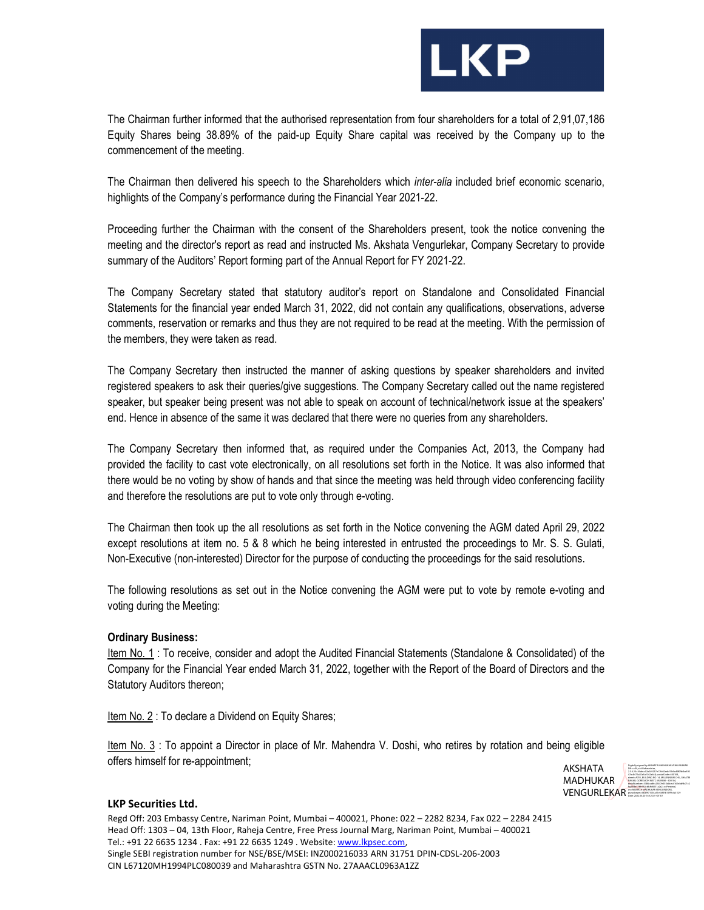

The Chairman further informed that the authorised representation from four shareholders for a total of 2,91,07,186 Equity Shares being 38.89% of the paid-up Equity Share capital was received by the Company up to the commencement of the meeting.

The Chairman then delivered his speech to the Shareholders which *inter-alia* included brief economic scenario, highlights of the Company's performance during the Financial Year 2021-22.

Proceeding further the Chairman with the consent of the Shareholders present, took the notice convening the meeting and the director's report as read and instructed Ms. Akshata Vengurlekar, Company Secretary to provide summary of the Auditors' Report forming part of the Annual Report for FY 2021-22.

The Company Secretary stated that statutory auditor's report on Standalone and Consolidated Financial Statements for the financial year ended March 31, 2022, did not contain any qualifications, observations, adverse comments, reservation or remarks and thus they are not required to be read at the meeting. With the permission of the members, they were taken as read.

The Company Secretary then instructed the manner of asking questions by speaker shareholders and invited registered speakers to ask their queries/give suggestions. The Company Secretary called out the name registered speaker, but speaker being present was not able to speak on account of technical/network issue at the speakers' end. Hence in absence of the same it was declared that there were no queries from any shareholders.

The Company Secretary then informed that, as required under the Companies Act, 2013, the Company had provided the facility to cast vote electronically, on all resolutions set forth in the Notice. It was also informed that there would be no voting by show of hands and that since the meeting was held through video conferencing facility and therefore the resolutions are put to vote only through e-voting.

The Chairman then took up the all resolutions as set forth in the Notice convening the AGM dated April 29, 2022 except resolutions at item no. 5 & 8 which he being interested in entrusted the proceedings to Mr. S. S. Gulati, Non-Executive (non-interested) Director for the purpose of conducting the proceedings for the said resolutions.

 The following resolutions as set out in the Notice convening the AGM were put to vote by remote e-voting and voting during the Meeting:

## Ordinary Business:

Item No. 1 : To receive, consider and adopt the Audited Financial Statements (Standalone & Consolidated) of the Company for the Financial Year ended March 31, 2022, together with the Report of the Board of Directors and the Statutory Auditors thereon;

Item No. 2 : To declare a Dividend on Equity Shares;

Item No. 3 : To appoint a Director in place of Mr. Mahendra V. Doshi, who retires by rotation and being eligible offers himself for re-appointment;



#### LKP Securities Ltd.